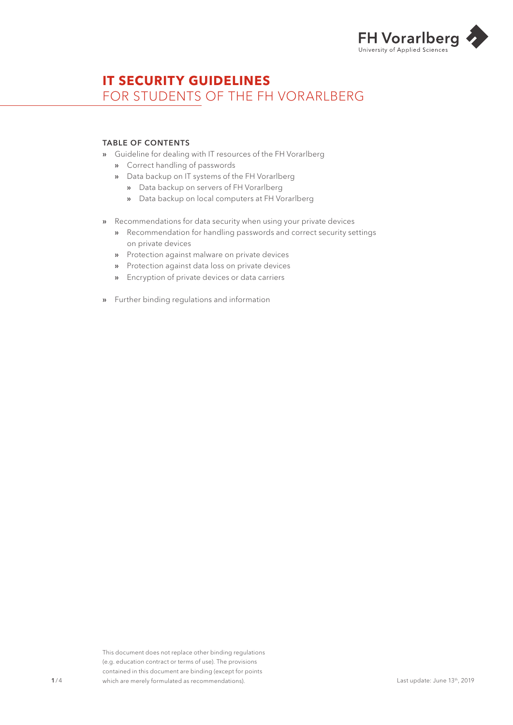

# **IT SECURITY GUIDELINES**  FOR STUDENTS OF THE FH VORARLBERG

### TABLE OF CONTENTS

- » Guideline for dealing with IT resources of the FH Vorarlberg
	- » Correct handling of passwords
	- » Data backup on IT systems of the FH Vorarlberg
		- » Data backup on servers of FH Vorarlberg
		- » Data backup on local computers at FH Vorarlberg
- » Recommendations for data security when using your private devices
	- » Recommendation for handling passwords and correct security settings on private devices
	- » Protection against malware on private devices
	- » Protection against data loss on private devices
	- » Encryption of private devices or data carriers
- » Further binding regulations and information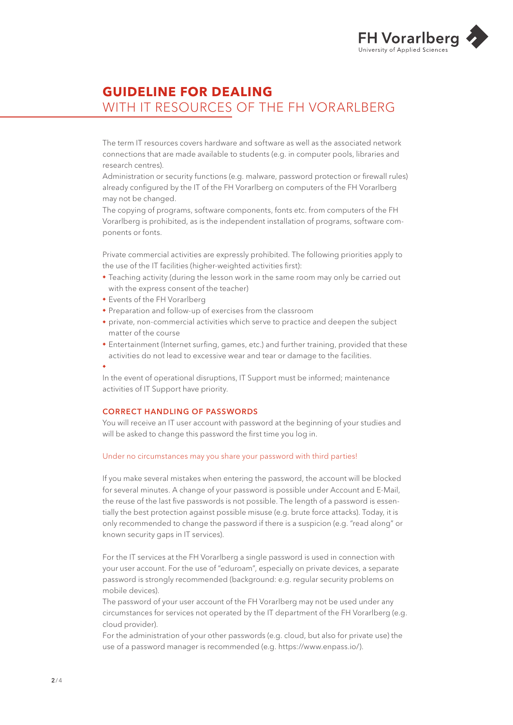

# **GUIDELINE FOR DEALING**  WITH IT RESOURCES OF THE FH VORARLBERG

The term IT resources covers hardware and software as well as the associated network connections that are made available to students (e.g. in computer pools, libraries and research centres).

Administration or security functions (e.g. malware, password protection or firewall rules) already configured by the IT of the FH Vorarlberg on computers of the FH Vorarlberg may not be changed.

The copying of programs, software components, fonts etc. from computers of the FH Vorarlberg is prohibited, as is the independent installation of programs, software components or fonts.

Private commercial activities are expressly prohibited. The following priorities apply to the use of the IT facilities (higher-weighted activities first):

- ◆ Teaching activity (during the lesson work in the same room may only be carried out with the express consent of the teacher)
- ◆ Events of the FH Vorarlberg
- ◆ Preparation and follow-up of exercises from the classroom
- ◆ private, non-commercial activities which serve to practice and deepen the subject matter of the course
- ◆ Entertainment (Internet surfing, games, etc.) and further training, provided that these activities do not lead to excessive wear and tear or damage to the facilities.

◆

In the event of operational disruptions, IT Support must be informed; maintenance activities of IT Support have priority.

## CORRECT HANDLING OF PASSWORDS

You will receive an IT user account with password at the beginning of your studies and will be asked to change this password the first time you log in.

#### Under no circumstances may you share your password with third parties!

If you make several mistakes when entering the password, the account will be blocked for several minutes. A change of your password is possible under Account and E-Mail, the reuse of the last five passwords is not possible. The length of a password is essentially the best protection against possible misuse (e.g. brute force attacks). Today, it is only recommended to change the password if there is a suspicion (e.g. "read along" or known security gaps in IT services).

For the IT services at the FH Vorarlberg a single password is used in connection with your user account. For the use of "eduroam", especially on private devices, a separate password is strongly recommended (background: e.g. regular security problems on mobile devices).

The password of your user account of the FH Vorarlberg may not be used under any circumstances for services not operated by the IT department of the FH Vorarlberg (e.g. cloud provider).

For the administration of your other passwords (e.g. cloud, but also for private use) the use of a password manager is recommended (e.g. https://www.enpass.io/).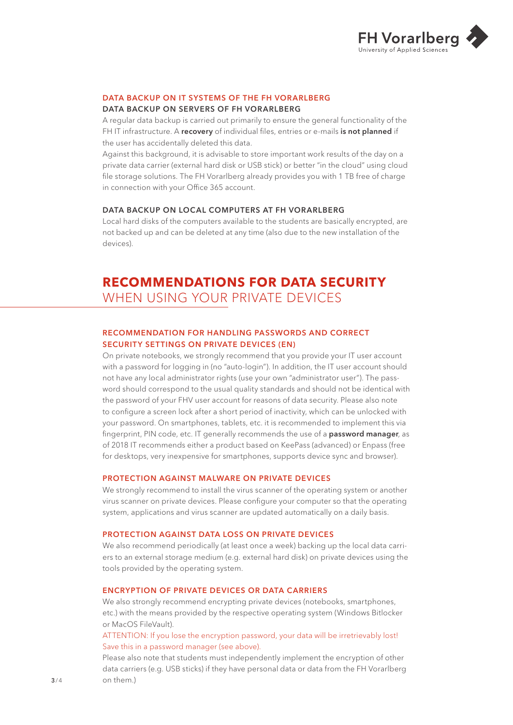

#### DATA BACKUP ON IT SYSTEMS OF THE FH VORARLBERG

## DATA BACKUP ON SERVERS OF FH VORARLBERG

A regular data backup is carried out primarily to ensure the general functionality of the FHIT infrastructure. A recovery of individual files, entries or e-mails is not planned if the user has accidentally deleted this data.

Against this background, it is advisable to store important work results of the day on a private data carrier (external hard disk or USB stick) or better "in the cloud" using cloud file storage solutions. The FH Vorarlberg already provides you with 1 TB free of charge in connection with your Office 365 account.

#### DATA BACKUP ON LOCAL COMPUTERS AT FH VORARLBERG

Local hard disks of the computers available to the students are basically encrypted, are not backed up and can be deleted at any time (also due to the new installation of the devices).

## **RECOMMENDATIONS FOR DATA SECURITY**  WHEN USING YOUR PRIVATE DEVICES

### RECOMMENDATION FOR HANDLING PASSWORDS AND CORRECT SECURITY SETTINGS ON PRIVATE DEVICES (EN)

On private notebooks, we strongly recommend that you provide your IT user account with a password for logging in (no "auto-login"). In addition, the IT user account should not have any local administrator rights (use your own "administrator user"). The password should correspond to the usual quality standards and should not be identical with the password of your FHV user account for reasons of data security. Please also note to configure a screen lock after a short period of inactivity, which can be unlocked with your password. On smartphones, tablets, etc. it is recommended to implement this via fingerprint, PIN code, etc. IT generally recommends the use of a **password manager**, as of 2018 IT recommends either a product based on KeePass (advanced) or Enpass (free for desktops, very inexpensive for smartphones, supports device sync and browser).

#### PROTECTION AGAINST MALWARE ON PRIVATE DEVICES

We strongly recommend to install the virus scanner of the operating system or another virus scanner on private devices. Please configure your computer so that the operating system, applications and virus scanner are updated automatically on a daily basis.

#### PROTECTION AGAINST DATA LOSS ON PRIVATE DEVICES

We also recommend periodically (at least once a week) backing up the local data carriers to an external storage medium (e.g. external hard disk) on private devices using the tools provided by the operating system.

#### ENCRYPTION OF PRIVATE DEVICES OR DATA CARRIERS

We also strongly recommend encrypting private devices (notebooks, smartphones, etc.) with the means provided by the respective operating system (Windows Bitlocker or MacOS FileVault).

ATTENTION: If you lose the encryption password, your data will be irretrievably lost! Save this in a password manager (see above).

Please also note that students must independently implement the encryption of other data carriers (e.g. USB sticks) if they have personal data or data from the FH Vorarlberg on them.)